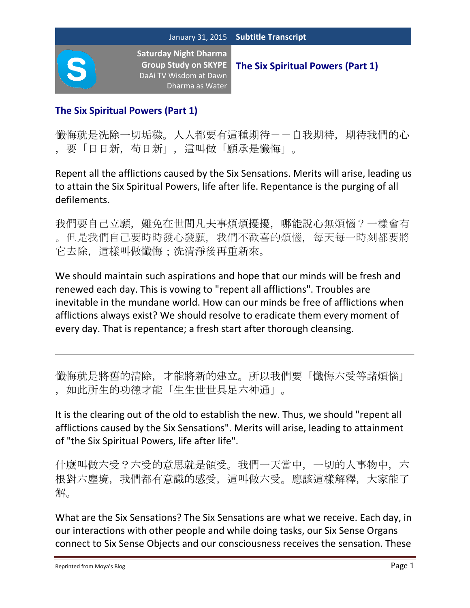

## **The Six Spiritual Powers (Part 1)**

懺悔就是洗除一切垢穢。人人都要有這種期待--自我期待, 期待我們的心 ,要「日日新,苟日新」,這叫做「願承是懺悔」。

Repent all the afflictions caused by the Six Sensations. Merits will arise, leading us to attain the Six Spiritual Powers, life after life. Repentance is the purging of all defilements.

我們要自己立願,難免在世間凡夫事煩煩擾擾,哪能說心無煩惱?一樣會有 。但是我們自己要時時發心發願,我們不歡喜的煩惱,每天每一時刻都要將 它去除,這樣叫做懺悔;洗清淨後再重新來。

We should maintain such aspirations and hope that our minds will be fresh and renewed each day. This is vowing to "repent all afflictions". Troubles are inevitable in the mundane world. How can our minds be free of afflictions when afflictions always exist? We should resolve to eradicate them every moment of every day. That is repentance; a fresh start after thorough cleansing.

懺悔就是將舊的清除,才能將新的建立。所以我們要「懺悔六受等諸煩惱」 ,如此所生的功德才能「生生世世具足六神通」。

It is the clearing out of the old to establish the new. Thus, we should "repent all afflictions caused by the Six Sensations". Merits will arise, leading to attainment of "the Six Spiritual Powers, life after life".

什麼叫做六受?六受的意思就是領受。我們一天當中,一切的人事物中,六 根對六塵境,我們都有意識的感受,這叫做六受。應該這樣解釋,大家能了 解。

What are the Six Sensations? The Six Sensations are what we receive. Each day, in our interactions with other people and while doing tasks, our Six Sense Organs connect to Six Sense Objects and our consciousness receives the sensation. These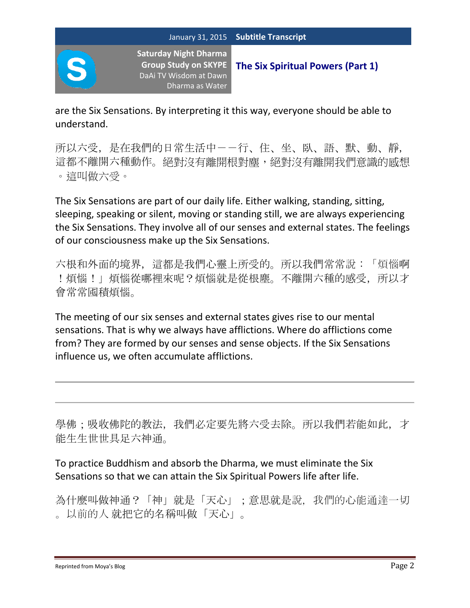

**The Six Spiritual Powers (Part 1)**

are the Six Sensations. By interpreting it this way, everyone should be able to understand.

所以六受,是在我們的日常生活中--行、住、坐、臥、語、默、動、靜, 這都不離開六種動作。絕對沒有離開根對塵,絕對沒有離開我們意識的感想 。這叫做六受。

The Six Sensations are part of our daily life. Either walking, standing, sitting, sleeping, speaking or silent, moving or standing still, we are always experiencing the Six Sensations. They involve all of our senses and external states. The feelings of our consciousness make up the Six Sensations.

六根和外面的境界,這都是我們心靈上所受的。所以我們常常說:「煩惱啊 !煩惱!」煩惱從哪裡來呢?煩惱就是從根塵。不離開六種的感受, 所以才 會常常囤積煩惱。

The meeting of our six senses and external states gives rise to our mental sensations. That is why we always have afflictions. Where do afflictions come from? They are formed by our senses and sense objects. If the Six Sensations influence us, we often accumulate afflictions.

學佛;吸收佛陀的教法,我們必定要先將六受去除。所以我們若能如此,才 能生生世世具足六神通。

To practice Buddhism and absorb the Dharma, we must eliminate the Six Sensations so that we can attain the Six Spiritual Powers life after life.

為什麼叫做神通?「神」就是「天心」;意思就是說,我們的心能通達一切 。以前的人 就把它的名稱叫做「天心」。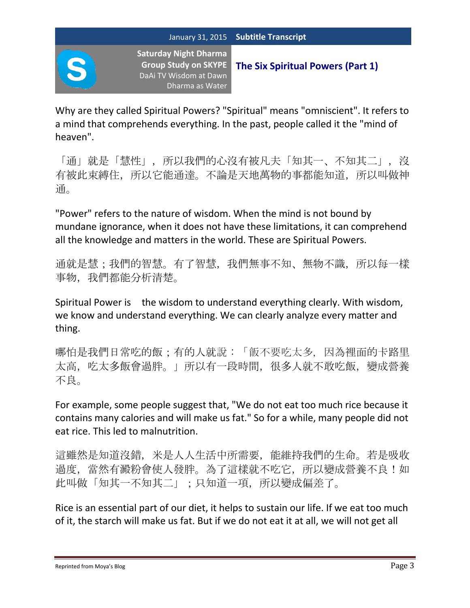

**The Six Spiritual Powers (Part 1)**

Why are they called Spiritual Powers? "Spiritual" means "omniscient". It refers to a mind that comprehends everything. In the past, people called it the "mind of heaven".

「通」就是「慧性」,所以我們的心沒有被凡夫「知其一、不知其二」,沒 有被此束縛住,所以它能通達。不論是天地萬物的事都能知道,所以叫做神 通。

"Power" refers to the nature of wisdom. When the mind is not bound by mundane ignorance, when it does not have these limitations, it can comprehend all the knowledge and matters in the world. These are Spiritual Powers.

通就是慧;我們的智慧。有了智慧,我們無事不知、無物不識,所以每一樣 事物,我們都能分析清楚。

Spiritual Power is the wisdom to understand everything clearly. With wisdom, we know and understand everything. We can clearly analyze every matter and thing.

哪怕是我們日常吃的飯;有的人就說:「飯不要吃太多,因為裡面的卡路里 太高,吃太多飯會過胖。」所以有一段時間,很多人就不敢吃飯,變成營養 不良。

For example, some people suggest that, "We do not eat too much rice because it contains many calories and will make us fat." So for a while, many people did not eat rice. This led to malnutrition.

這雖然是知道沒錯,米是人人生活中所需要,能維持我們的生命。若是吸收 過度,當然有澱粉會使人發胖。為了這樣就不吃它,所以變成營養不良!如 此叫做「知其一不知其二」;只知道一項,所以變成偏差了。

Rice is an essential part of our diet, it helps to sustain our life. If we eat too much of it, the starch will make us fat. But if we do not eat it at all, we will not get all

Reprinted from Moya's Blog **Blog Page 3** and the Reprinted from Moya's Blog Page 3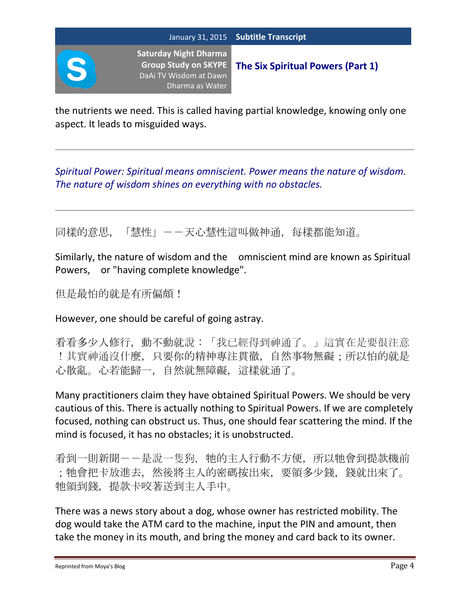

**The Six Spiritual Powers (Part 1)**

the nutrients we need. This is called having partial knowledge, knowing only one aspect. It leads to misguided ways.

*Spiritual Power: Spiritual means omniscient. Power means the nature of wisdom. The nature of wisdom shines on everything with no obstacles.*

同樣的意思,「慧性」——天心慧性這叫做神通,每樣都能知道。

Similarly, the nature of wisdom and the omniscient mind are known as Spiritual Powers, or "having complete knowledge".

但是最怕的就是有所偏頗!

However, one should be careful of going astray.

看看多少人修行,動不動就說:「我已經得到神通了。」這實在是要很注意 !其實神通沒什麼,只要你的精神專注貫徹,自然事物無礙;所以怕的就是 心散亂。心若能歸一,自然就無障礙,這樣就通了。

Many practitioners claim they have obtained Spiritual Powers. We should be very cautious of this. There is actually nothing to Spiritual Powers. If we are completely focused, nothing can obstruct us. Thus, one should fear scattering the mind. If the mind is focused, it has no obstacles; it is unobstructed.

看到一則新聞--是說一隻狗,牠的主人行動不方便,所以牠會到提款機前 ;牠會把卡放進去,然後將主人的密碼按出來,要領多少錢,錢就出來了。 牠領到錢,提款卡咬著送到主人手中。

There was a news story about a dog, whose owner has restricted mobility. The dog would take the ATM card to the machine, input the PIN and amount, then take the money in its mouth, and bring the money and card back to its owner.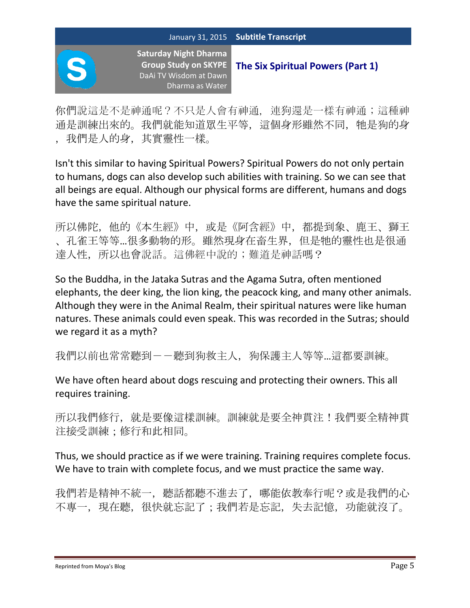你們說這是不是神通呢?不只是人會有神通,連狗還是一樣有神通;這種神 通是訓練出來的。我們就能知道眾生平等,這個身形雖然不同,牠是狗的身 ,我們是人的身,其實靈性一樣。

Isn't this similar to having Spiritual Powers? Spiritual Powers do not only pertain to humans, dogs can also develop such abilities with training. So we can see that all beings are equal. Although our physical forms are different, humans and dogs have the same spiritual nature.

所以佛陀,他的《本生經》中,或是《阿含經》中,都提到象、鹿王、獅王 、孔雀王等等…很多動物的形。雖然現身在畜生界,但是牠的靈性也是很通 達人性,所以也會說話。這佛經中說的;難道是神話嗎?

So the Buddha, in the Jataka Sutras and the Agama Sutra, often mentioned elephants, the deer king, the lion king, the peacock king, and many other animals. Although they were in the Animal Realm, their spiritual natures were like human natures. These animals could even speak. This was recorded in the Sutras; should we regard it as a myth?

我們以前也常常聽到--聽到狗救主人,狗保護主人等等…這都要訓練。

We have often heard about dogs rescuing and protecting their owners. This all requires training.

所以我們修行, 就是要像這樣訓練。訓練就是要全神貫注!我們要全精神貫 注接受訓練;修行和此相同。

Thus, we should practice as if we were training. Training requires complete focus. We have to train with complete focus, and we must practice the same way.

我們若是精神不統一,聽話都聽不進去了,哪能依教奉行呢?或是我們的心 不專一,現在聽,很快就忘記了;我們若是忘記,失去記憶,功能就沒了。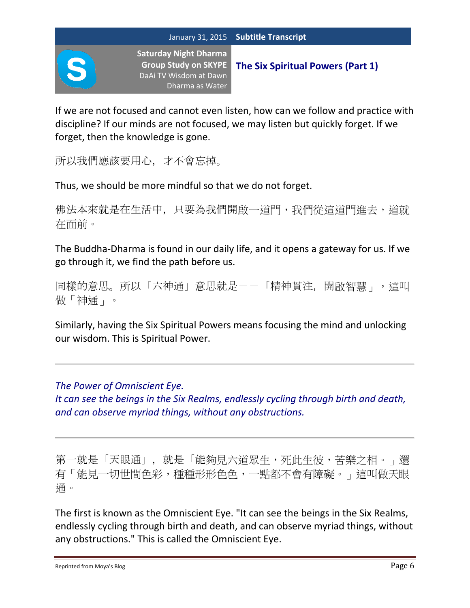

**The Six Spiritual Powers (Part 1)**

If we are not focused and cannot even listen, how can we follow and practice with discipline? If our minds are not focused, we may listen but quickly forget. If we forget, then the knowledge is gone.

所以我們應該要用心,才不會忘掉。

Thus, we should be more mindful so that we do not forget.

佛法本來就是在生活中,只要為我們開啟一道門,我們從這道門進去,道就 在面前。

The Buddha-Dharma is found in our daily life, and it opens a gateway for us. If we go through it, we find the path before us.

同樣的意思。所以「六神通」意思就是--「精神貫注,開啟智慧」,這叫 做「神通」。

Similarly, having the Six Spiritual Powers means focusing the mind and unlocking our wisdom. This is Spiritual Power.

*The Power of Omniscient Eye.*

*It can see the beings in the Six Realms, endlessly cycling through birth and death, and can observe myriad things, without any obstructions.*

第一就是「天眼通」,就是「能夠見六道眾生,死此生彼,苦樂之相。」還 有「能見一切世間色彩,種種形形色色,一點都不會有障礙。」這叫做天眼 通。

The first is known as the Omniscient Eye. "It can see the beings in the Six Realms, endlessly cycling through birth and death, and can observe myriad things, without any obstructions." This is called the Omniscient Eye.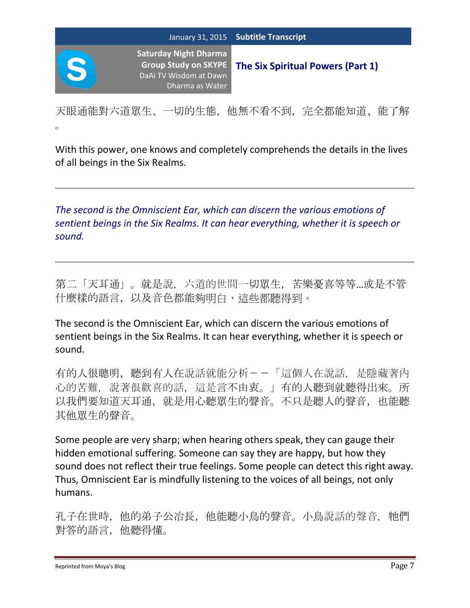天眼通能對六道眾生、一切的生態,他無不看不到,完全都能知道、能了解 。

With this power, one knows and completely comprehends the details in the lives of all beings in the Six Realms.

*The second is the Omniscient Ear, which can discern the various emotions of sentient beings in the Six Realms. It can hear everything, whether it is speech or sound.*

第二「天耳通」。就是說,六道的世間一切眾生,苦樂憂喜等等…或是不管 什麼樣的語言,以及音色都能夠明白,這些都聽得到。

The second is the Omniscient Ear, which can discern the various emotions of sentient beings in the Six Realms. It can hear everything, whether it is speech or sound.

有的人很聰明,聽到有人在說話就能分析--「這個人在說話,是隱藏著內 心的苦難,說著很歡喜的話,這是言不由衷。」有的人聽到就聽得出來。所 以我們要知道天耳通, 就是用心聽眾生的聲音。不只是聽人的聲音, 也能聽 其他眾生的聲音。

Some people are very sharp; when hearing others speak, they can gauge their hidden emotional suffering. Someone can say they are happy, but how they sound does not reflect their true feelings. Some people can detect this right away. Thus, Omniscient Ear is mindfully listening to the voices of all beings, not only humans.

孔子在世時,他的弟子公冶長,他能聽小鳥的聲音。小鳥說話的聲音,牠們 對答的語言,他聽得懂。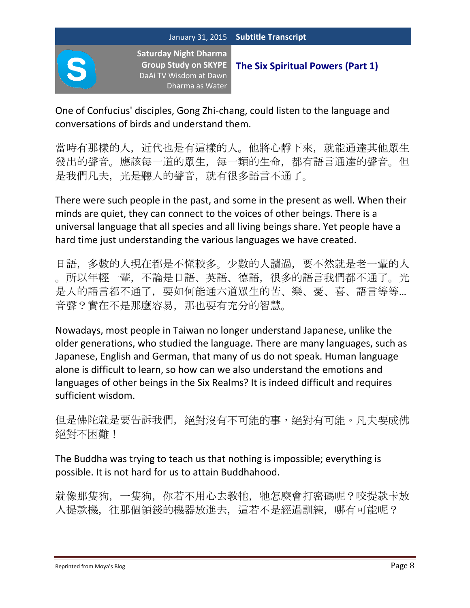

**The Six Spiritual Powers (Part 1)**

One of Confucius' disciples, Gong Zhi-chang, could listen to the language and conversations of birds and understand them.

當時有那樣的人,近代也是有這樣的人。他將心靜下來,就能通達其他眾生 發出的聲音。應該每一道的眾生,每一類的生命,都有語言通達的聲音。但 是我們凡夫,光是聽人的聲音,就有很多語言不通了。

There were such people in the past, and some in the present as well. When their minds are quiet, they can connect to the voices of other beings. There is a universal language that all species and all living beings share. Yet people have a hard time just understanding the various languages we have created.

日語,多數的人現在都是不懂較多。少數的人讀過,要不然就是老一輩的人 。所以年輕一輩,不論是日語、英語、德語,很多的語言我們都不通了。光 是人的語言都不通了,要如何能通六道眾生的苦、樂、憂、喜、語言等等… 音聲?實在不是那麼容易,那也要有充分的智慧。

Nowadays, most people in Taiwan no longer understand Japanese, unlike the older generations, who studied the language. There are many languages, such as Japanese, English and German, that many of us do not speak. Human language alone is difficult to learn, so how can we also understand the emotions and languages of other beings in the Six Realms? It is indeed difficult and requires sufficient wisdom.

但是佛陀就是要告訴我們,絕對沒有不可能的事,絕對有可能。凡夫要成佛 絕對不困難!

The Buddha was trying to teach us that nothing is impossible; everything is possible. It is not hard for us to attain Buddhahood.

就像那隻狗,一隻狗,你若不用心去教牠,牠怎麼會打密碼呢?咬提款卡放 入提款機,往那個領錢的機器放進去,這若不是經過訓練,哪有可能呢?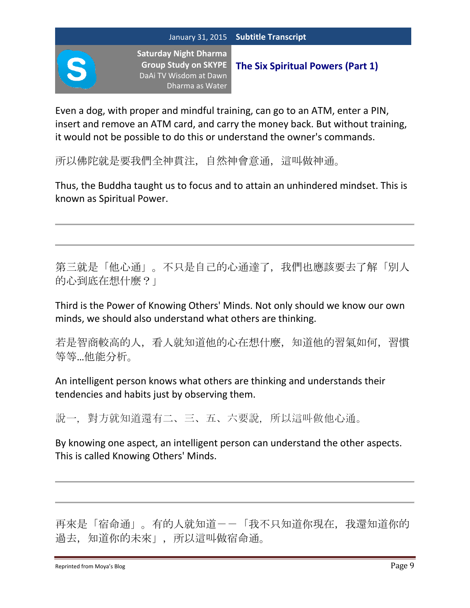

**The Six Spiritual Powers (Part 1)**

Even a dog, with proper and mindful training, can go to an ATM, enter a PIN, insert and remove an ATM card, and carry the money back. But without training, it would not be possible to do this or understand the owner's commands.

所以佛陀就是要我們全神貫注,自然神會意通,這叫做神通。

Thus, the Buddha taught us to focus and to attain an unhindered mindset. This is known as Spiritual Power.

第三就是「他心通」。不只是自己的心通達了,我們也應該要去了解「別人 的心到底在想什麼?」

Third is the Power of Knowing Others' Minds. Not only should we know our own minds, we should also understand what others are thinking.

若是智商較高的人,看人就知道他的心在想什麼,知道他的習氣如何,習慣 等等…他能分析。

An intelligent person knows what others are thinking and understands their tendencies and habits just by observing them.

說一,對方就知道還有二、三、五、六要說,所以這叫做他心通。

By knowing one aspect, an intelligent person can understand the other aspects. This is called Knowing Others' Minds.

再來是「宿命通」。有的人就知道--「我不只知道你現在,我還知道你的 過去,知道你的未來」,所以這叫做宿命通。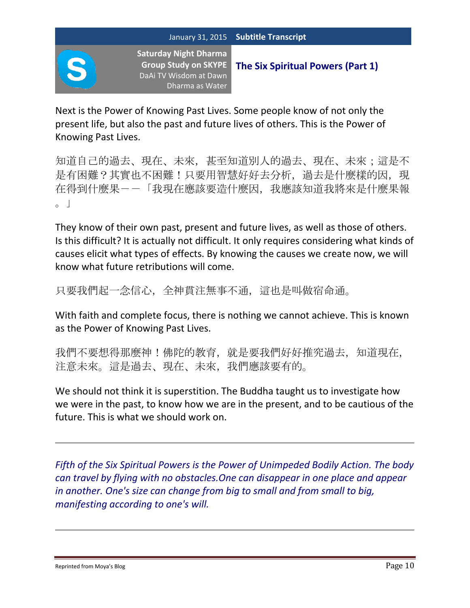

**The Six Spiritual Powers (Part 1)**

Next is the Power of Knowing Past Lives. Some people know of not only the present life, but also the past and future lives of others. This is the Power of Knowing Past Lives.

知道自己的過去、現在、未來,甚至知道別人的過去、現在、未來;這是不 是有困難?其實也不困難!只要用智慧好好去分析, 過去是什麼樣的因, 現 在得到什麼果--「我現在應該要造什麼因,我應該知道我將來是什麼果報  $\overline{\phantom{0}}$ 

They know of their own past, present and future lives, as well as those of others. Is this difficult? It is actually not difficult. It only requires considering what kinds of causes elicit what types of effects. By knowing the causes we create now, we will know what future retributions will come.

只要我們起一念信心,全神貫注無事不通,這也是叫做宿命通。

With faith and complete focus, there is nothing we cannot achieve. This is known as the Power of Knowing Past Lives.

我們不要想得那麼神!佛陀的教育,就是要我們好好推究過去,知道現在, 注意未來。這是過去、現在、未來,我們應該要有的。

We should not think it is superstition. The Buddha taught us to investigate how we were in the past, to know how we are in the present, and to be cautious of the future. This is what we should work on.

*Fifth of the Six Spiritual Powers is the Power of Unimpeded Bodily Action. The body can travel by flying with no obstacles.One can disappear in one place and appear in another. One's size can change from big to small and from small to big, manifesting according to one's will.*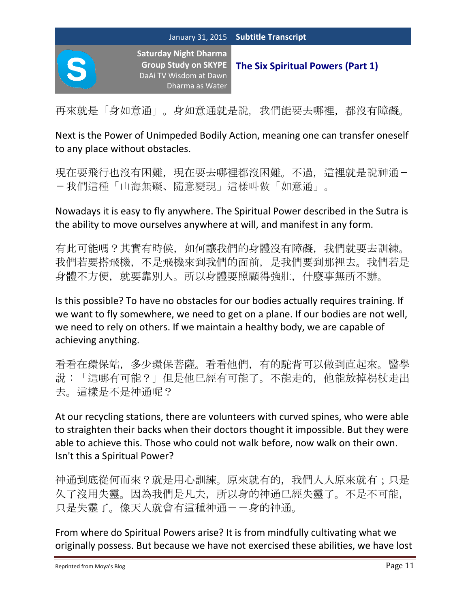再來就是「身如意通」。身如意通就是說,我們能要去哪裡,都沒有障礙。

Next is the Power of Unimpeded Bodily Action, meaning one can transfer oneself to any place without obstacles.

現在要飛行也沒有困難,現在要去哪裡都沒困難。不過,這裡就是說神通--我們這種「山海無礙、隨意變現」這樣叫做「如意通」。

Nowadays it is easy to fly anywhere. The Spiritual Power described in the Sutra is the ability to move ourselves anywhere at will, and manifest in any form.

有此可能嗎?其實有時候,如何讓我們的身體沒有障礙,我們就要去訓練。 我們若要搭飛機,不是飛機來到我們的面前,是我們要到那裡去。我們若是 身體不方便,就要靠別人。所以身體要照顧得強壯,什麼事無所不辦。

Is this possible? To have no obstacles for our bodies actually requires training. If we want to fly somewhere, we need to get on a plane. If our bodies are not well, we need to rely on others. If we maintain a healthy body, we are capable of achieving anything.

看看在環保站,多少環保菩薩。看看他們,有的駝背可以做到直起來。醫學 說:「這哪有可能?」但是他已經有可能了。不能走的,他能放掉枴杖走出 去。這樣是不是神通呢?

At our recycling stations, there are volunteers with curved spines, who were able to straighten their backs when their doctors thought it impossible. But they were able to achieve this. Those who could not walk before, now walk on their own. Isn't this a Spiritual Power?

神通到底從何而來?就是用心訓練。原來就有的,我們人人原來就有;只是 久了沒用失靈。因為我們是凡夫,所以身的神通已經失靈了。不是不可能, 只是失靈了。像天人就會有這種神通--身的神通。

From where do Spiritual Powers arise? It is from mindfully cultivating what we originally possess. But because we have not exercised these abilities, we have lost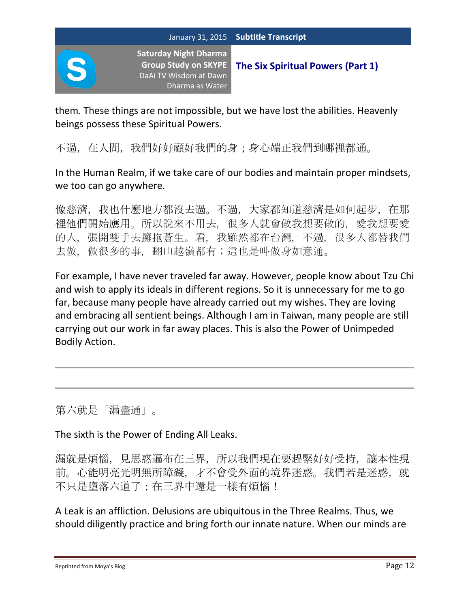

**The Six Spiritual Powers (Part 1)**

them. These things are not impossible, but we have lost the abilities. Heavenly beings possess these Spiritual Powers.

不過, 在人間, 我們好好顧好我們的身;身心端正我們到哪裡都通。

In the Human Realm, if we take care of our bodies and maintain proper mindsets, we too can go anywhere.

像慈濟,我也什麼地方都沒去過。不過,大家都知道慈濟是如何起步,在那 裡他們開始應用。所以說來不用去,很多人就會做我想要做的,愛我想要愛 的人,張開雙手去擁抱蒼生。看,我雖然都在台灣,不過,很多人都替我們 去做, 做很多的事, 翻山越嶺都有;這也是叫做身如意通。

For example, I have never traveled far away. However, people know about Tzu Chi and wish to apply its ideals in different regions. So it is unnecessary for me to go far, because many people have already carried out my wishes. They are loving and embracing all sentient beings. Although I am in Taiwan, many people are still carrying out our work in far away places. This is also the Power of Unimpeded Bodily Action.

第六就是「漏盡通」。

The sixth is the Power of Ending All Leaks.

漏就是煩惱,見思惑遍布在三界,所以我們現在要趕緊好好受持,讓本性現 前。心能明亮光明無所障礙,才不會受外面的境界迷惑。我們若是迷惑,就 不只是墮落六道了;在三界中還是一樣有煩惱!

A Leak is an affliction. Delusions are ubiquitous in the Three Realms. Thus, we should diligently practice and bring forth our innate nature. When our minds are

Reprinted from Moya's Blog Page 12